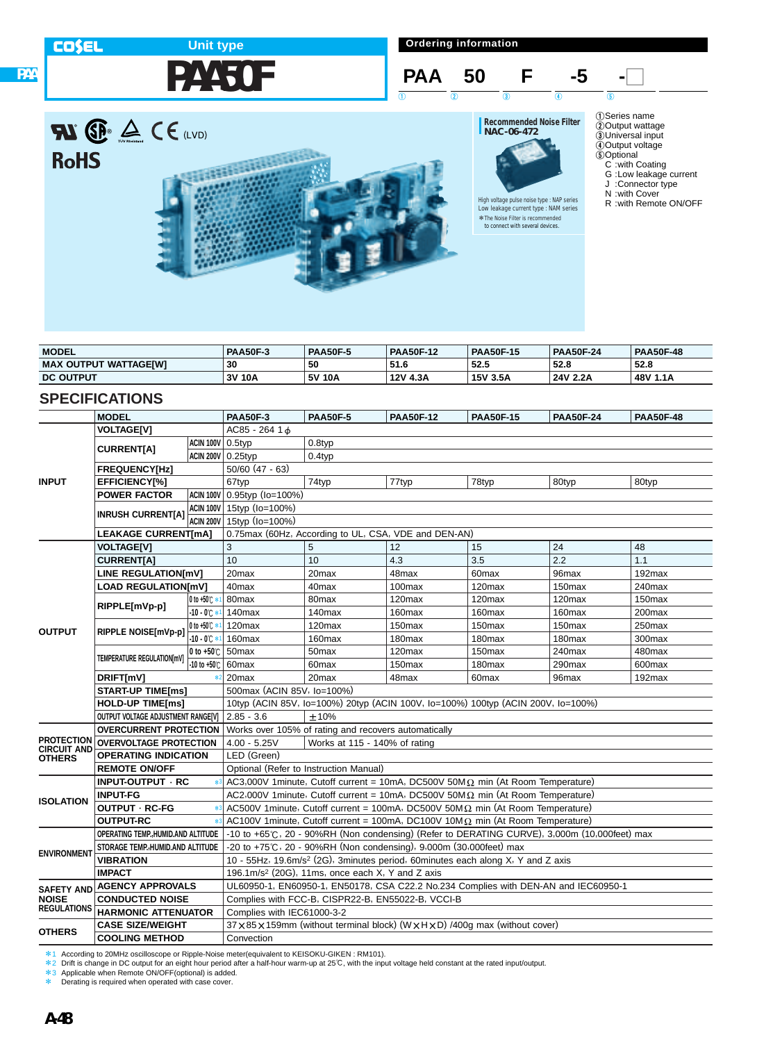## **Unit type**

**PAA50F**

**Ordering information**





| <b>Recommended Noise Filter</b> |  |
|---------------------------------|--|
| NAC-06-472                      |  |
|                                 |  |

High voltage pulse noise type : NAP series Low leakage current type : NAM series

1Series name 2Output wattage 3Universal input 4Output voltage 5Optional C :with Coating G :Low leakage current

J :Connector type

N :with Cover

R :with Remote ON/OFF

| <b>MODEL</b>                 | <b>PAA50F-3</b> | <b>PAA50F-5</b> | <b>PAA50F-12</b> | <b>PAA50F-15</b> | <b>PAA50F-24</b> | <b>PAA50F-48</b> |
|------------------------------|-----------------|-----------------|------------------|------------------|------------------|------------------|
| <b>MAX OUTPUT WATTAGEIWI</b> | 30              | 50              | 51.6             | 52.5             | 52.8             | 52.8             |
| <b>DC OUTPUT</b>             | 3V 10A          | 5V 10A          | 12V 4.3A         | 15V 3.5A         | 24V 2.2A         | 48V 1.1A         |

### **SPECIFICATIONS**

**PAA**

**COSEL** 

|                                         | <b>MODEL</b>                       |                         | <b>PAA50F-3</b>                                                                  | <b>PAA50F-5</b>                                              | <b>PAA50F-12</b>                                                                             | <b>PAA50F-15</b>   | <b>PAA50F-24</b>   | <b>PAA50F-48</b>   |  |  |
|-----------------------------------------|------------------------------------|-------------------------|----------------------------------------------------------------------------------|--------------------------------------------------------------|----------------------------------------------------------------------------------------------|--------------------|--------------------|--------------------|--|--|
|                                         | <b>VOLTAGE[V]</b>                  |                         | AC85 - 264 1 d                                                                   |                                                              |                                                                                              |                    |                    |                    |  |  |
|                                         |                                    | <b>ACIN 100V</b> 0.5typ |                                                                                  | 0.8typ                                                       |                                                                                              |                    |                    |                    |  |  |
|                                         | <b>CURRENTIA1</b>                  |                         | ACIN 200V 0.25typ                                                                | 0.4typ                                                       |                                                                                              |                    |                    |                    |  |  |
|                                         | <b>FREQUENCY[Hz]</b>               |                         | $50/60$ (47 - 63)                                                                |                                                              |                                                                                              |                    |                    |                    |  |  |
| <b>INPUT</b>                            | EFFICIENCY[%]                      |                         | 67typ                                                                            | 74typ                                                        | 77typ                                                                                        | 78typ              | 80typ              | 80typ              |  |  |
|                                         | <b>POWER FACTOR</b>                |                         | ACIN 100V 0.95typ (Io=100%)                                                      |                                                              |                                                                                              |                    |                    |                    |  |  |
|                                         |                                    |                         | ACIN 100V 15typ (Io=100%)                                                        |                                                              |                                                                                              |                    |                    |                    |  |  |
|                                         | <b>INRUSH CURRENT[A]</b>           | ACIN 200V               | 15typ (Io=100%)                                                                  |                                                              |                                                                                              |                    |                    |                    |  |  |
|                                         | <b>LEAKAGE CURRENT[mA]</b>         |                         |                                                                                  |                                                              | 0.75max (60Hz, According to UL, CSA, VDE and DEN-AN)                                         |                    |                    |                    |  |  |
|                                         | <b>VOLTAGE[V]</b>                  |                         | 3                                                                                | 5                                                            | 12                                                                                           | 15                 | 24                 | 48                 |  |  |
|                                         | <b>CURRENT[A]</b>                  |                         | 10                                                                               | 10                                                           | 4.3                                                                                          | 3.5                | 2.2                | 1.1                |  |  |
|                                         | <b>LINE REGULATION[mV]</b>         |                         | 20 <sub>max</sub>                                                                | 20max                                                        | 48max                                                                                        | 60 <sub>max</sub>  | 96max              | $192$ max          |  |  |
|                                         | <b>LOAD REGULATION[mV]</b>         |                         | 40max                                                                            | 40max                                                        | 100max                                                                                       | 120max             | 150max             | 240max             |  |  |
|                                         | RIPPLE[mVp-p]                      | $0$ to +50 $\degree$    | 80 <sub>max</sub>                                                                | 80 <sub>max</sub>                                            | 120 <sub>max</sub>                                                                           | 120max             | 120 <sub>max</sub> | 150 <sub>max</sub> |  |  |
|                                         |                                    | $-10 - 0^{\circ}$       | 140max                                                                           | 140max                                                       | 160max                                                                                       | 160max             | 160max             | 200max             |  |  |
| <b>OUTPUT</b>                           | RIPPLE NOISE[mVp-p]                | 0 to +50 C *            | 120max                                                                           | 120max                                                       | 150 <sub>max</sub>                                                                           | 150 <sub>max</sub> | 150 <sub>max</sub> | 250max             |  |  |
|                                         |                                    | $-10 - 00 * 1$          | 160max                                                                           | 160 <sub>max</sub>                                           | 180 <sub>max</sub>                                                                           | 180 <sub>max</sub> | 180 <sub>max</sub> | 300max             |  |  |
|                                         | TEMPERATURE REGULATION[mV]         | 0 to $+50^\circ$ C      | 50 <sub>max</sub>                                                                | 50 <sub>max</sub>                                            | 120max                                                                                       | 150max             | 240max             | 480max             |  |  |
|                                         |                                    | -10 to +50℃             | 60 <sub>max</sub>                                                                | 60 <sub>max</sub>                                            | 150 <sub>max</sub>                                                                           | 180 <sub>max</sub> | 290max             | 600max             |  |  |
|                                         | DRIFT[mV]                          | $*2$                    | 20 <sub>max</sub>                                                                | 20 <sub>max</sub>                                            | 48max                                                                                        | 60max              | 96max              | 192max             |  |  |
|                                         | <b>START-UP TIME[ms]</b>           |                         | 500max (ACIN 85V, Io=100%)                                                       |                                                              |                                                                                              |                    |                    |                    |  |  |
|                                         | <b>HOLD-UP TIME[ms]</b>            |                         | 10typ (ACIN 85V, Io=100%) 20typ (ACIN 100V, Io=100%) 100typ (ACIN 200V, Io=100%) |                                                              |                                                                                              |                    |                    |                    |  |  |
|                                         | OUTPUT VOLTAGE ADJUSTMENT RANGE[V] |                         | $2.85 - 3.6$<br>±10%                                                             |                                                              |                                                                                              |                    |                    |                    |  |  |
|                                         | <b>OVERCURRENT PROTECTION</b>      |                         | Works over 105% of rating and recovers automatically                             |                                                              |                                                                                              |                    |                    |                    |  |  |
| <b>PROTECTION</b><br><b>CIRCUIT AND</b> | <b>OVERVOLTAGE PROTECTION</b>      |                         | $4.00 - 5.25V$                                                                   | Works at 115 - 140% of rating                                |                                                                                              |                    |                    |                    |  |  |
| <b>OTHERS</b>                           | <b>OPERATING INDICATION</b>        |                         | LED (Green)                                                                      |                                                              |                                                                                              |                    |                    |                    |  |  |
|                                         | <b>REMOTE ON/OFF</b>               |                         |                                                                                  | Optional (Refer to Instruction Manual)                       |                                                                                              |                    |                    |                    |  |  |
|                                         | INPUT-OUTPUT · RC                  |                         |                                                                                  |                                                              | AC3,000V 1minute, Cutoff current = 10mA, DC500V 50M $\Omega$ min (At Room Temperature)       |                    |                    |                    |  |  |
| <b>ISOLATION</b>                        | <b>INPUT-FG</b>                    |                         |                                                                                  |                                                              | AC2,000V 1minute, Cutoff current = 10mA, DC500V 50M $\Omega$ min (At Room Temperature)       |                    |                    |                    |  |  |
|                                         | OUTPUT · RC-FG                     |                         |                                                                                  |                                                              | AC500V 1minute, Cutoff current = 100mA, DC500V 50M $\Omega$ min (At Room Temperature)        |                    |                    |                    |  |  |
|                                         | <b>OUTPUT-RC</b>                   |                         |                                                                                  |                                                              | AC100V 1minute, Cutoff current = 100mA, DC100V 10M $\Omega$ min (At Room Temperature)        |                    |                    |                    |  |  |
|                                         | OPERATING TEMP. HUMID.AND ALTITUDE |                         |                                                                                  |                                                              | -10 to +65°C, 20 - 90%RH (Non condensing) (Refer to DERATING CURVE), 3,000m (10,000feet) max |                    |                    |                    |  |  |
| <b>ENVIRONMENT</b>                      | STORAGE TEMP., HUMID. AND ALTITUDE |                         |                                                                                  |                                                              | $-20$ to $+75^{\circ}$ C, 20 - 90%RH (Non condensing), 9,000m (30,000feet) max               |                    |                    |                    |  |  |
|                                         | <b>VIBRATION</b>                   |                         |                                                                                  |                                                              | 10 - 55Hz, 19.6m/s <sup>2</sup> (2G), 3minutes period, 60minutes each along X, Y and Z axis  |                    |                    |                    |  |  |
|                                         | <b>IMPACT</b>                      |                         |                                                                                  | 196.1m/s <sup>2</sup> (20G), 11ms, once each X, Y and Z axis |                                                                                              |                    |                    |                    |  |  |
|                                         | SAFETY AND AGENCY APPROVALS        |                         |                                                                                  |                                                              | UL60950-1, EN60950-1, EN50178, CSA C22.2 No.234 Complies with DEN-AN and IEC60950-1          |                    |                    |                    |  |  |
| <b>NOISE</b><br><b>REGULATIONS</b>      | <b>CONDUCTED NOISE</b>             |                         |                                                                                  |                                                              | Complies with FCC-B, CISPR22-B, EN55022-B, VCCI-B                                            |                    |                    |                    |  |  |
|                                         | <b>HARMONIC ATTENUATOR</b>         |                         | Complies with IEC61000-3-2                                                       |                                                              |                                                                                              |                    |                    |                    |  |  |
| <b>OTHERS</b>                           | <b>CASE SIZE/WEIGHT</b>            |                         |                                                                                  |                                                              | 37 x 85 x 159mm (without terminal block) (W x H x D) /400q max (without cover)               |                    |                    |                    |  |  |
|                                         | <b>COOLING METHOD</b>              |                         | Convection                                                                       |                                                              |                                                                                              |                    |                    |                    |  |  |

水1 According to 20MHz oscilloscope or Ripple-Noise meter(equivalent to KEISOKU-GIKEN : RM101).<br>\*2 Drift is change in DC output for an eight hour period after a half-hour warm-up at 25℃, with the input voltage held consta

\* Derating is required when operated with case cover.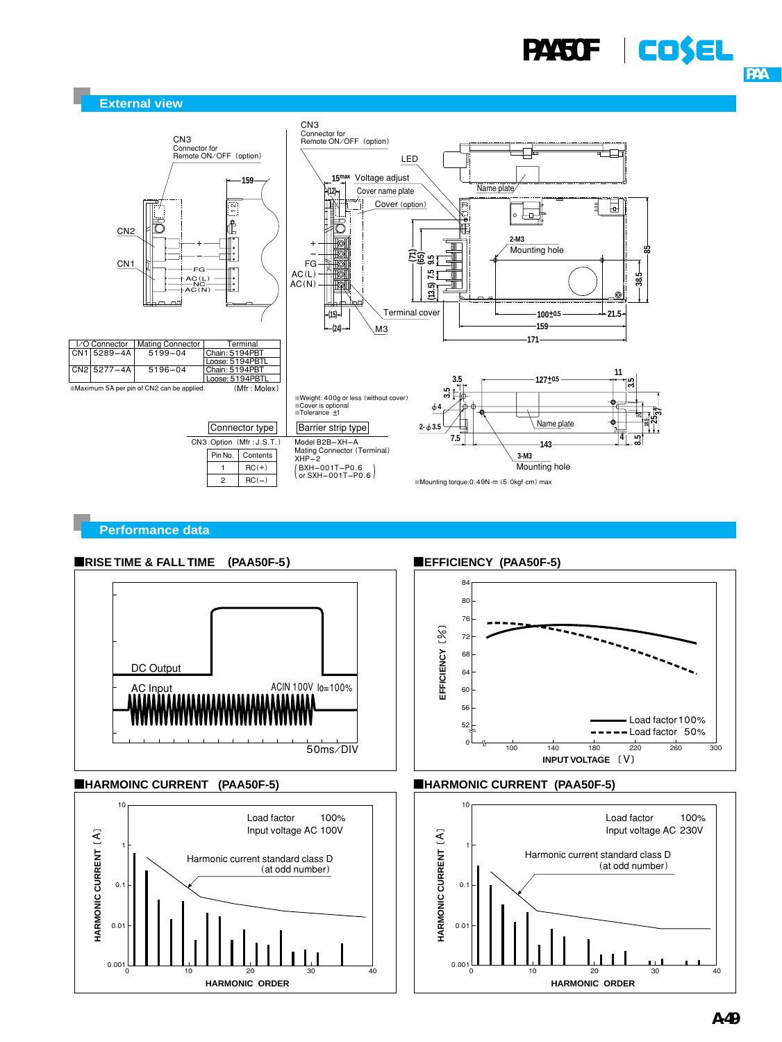# **PAA50F** | **CO\$EL**





### **Performance data**





### ■HARMOINC CURRENT (PAA50F-5) ■HARMONIC CURRENT (PAA50F-5)





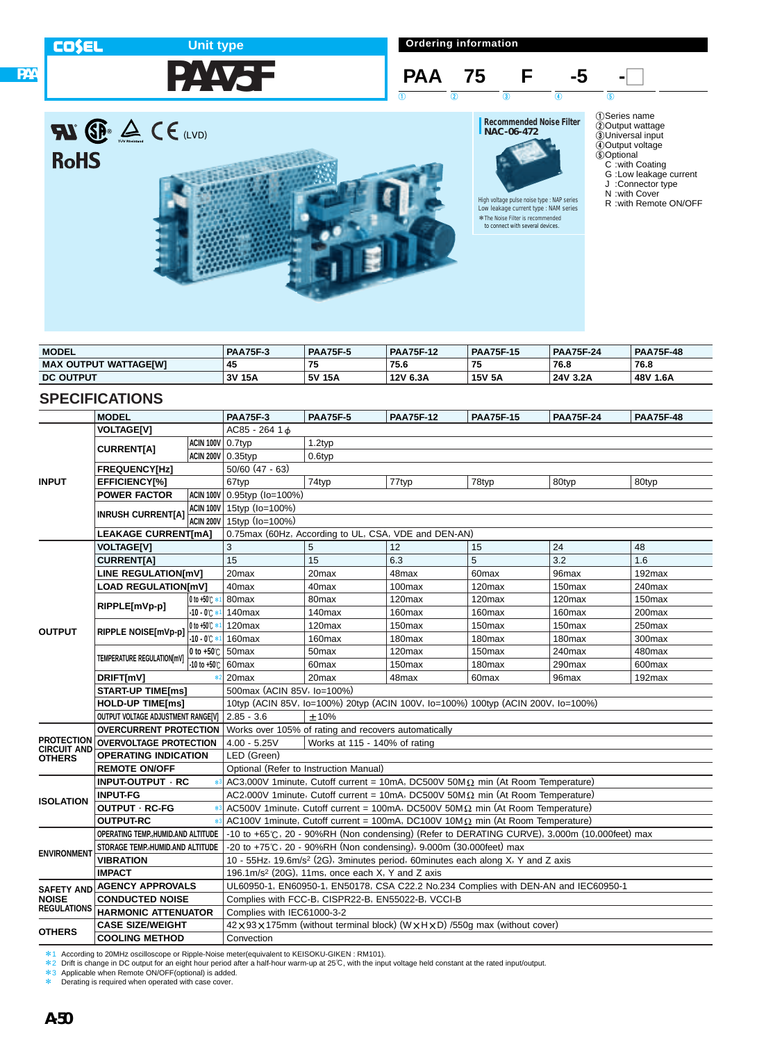### **Ordering information COSEL Unit type PAA75F PAA 75 F** -5 - $\begin{array}{ccc} 1 & 0 & 0 \end{array}$  (1)  $\begin{array}{ccc} 1 & 0 & 0 \end{array}$  (5) **RI P**  $\triangle$  C E (LVD) **Recommended Noise Filter NAC-06-472**



| <b>MODEL</b>                 | <b>PAA75F-3</b> | <b>PAA75F-5</b> | <b>PAA75F-12</b> | <b>PAA75F-15</b> | <b>PAA75F-24</b> | <b>PAA75F-48</b> |
|------------------------------|-----------------|-----------------|------------------|------------------|------------------|------------------|
| <b>MAX OUTPUT WATTAGEIWI</b> | 45              | 75              | 75.6             | 75               | 76.8             | 76.8             |
| <b>DC OUTPUT</b>             | 3V 15A          | 5V 15A          | 12V 6.3A         | <b>15V 5A</b>    | 24V 3.2A         | 48 V<br>1.6A     |

### **SPECIFICATIONS**

**PAA**

|                                         | <b>MODEL</b>                        |                         | <b>PAA75F-3</b>                                                                  | <b>PAA75F-5</b>                                                    | <b>PAA75F-12</b>   | <b>PAA75F-15</b>                                                                             | <b>PAA75F-24</b>   | <b>PAA75F-48</b>   |  |  |  |
|-----------------------------------------|-------------------------------------|-------------------------|----------------------------------------------------------------------------------|--------------------------------------------------------------------|--------------------|----------------------------------------------------------------------------------------------|--------------------|--------------------|--|--|--|
|                                         | <b>VOLTAGE[V]</b>                   |                         | $AC85 - 26416$                                                                   |                                                                    |                    |                                                                                              |                    |                    |  |  |  |
|                                         |                                     | <b>ACIN 100V</b> 0.7typ |                                                                                  | 1.2typ                                                             |                    |                                                                                              |                    |                    |  |  |  |
|                                         | <b>CURRENTIA1</b>                   | ACIN 200V 0.35typ       |                                                                                  | 0.6typ                                                             |                    |                                                                                              |                    |                    |  |  |  |
|                                         | <b>FREQUENCY[Hz]</b>                |                         | $50/60$ (47 - 63)                                                                |                                                                    |                    |                                                                                              |                    |                    |  |  |  |
| <b>INPUT</b>                            | EFFICIENCY[%]                       |                         | 67typ                                                                            | 74typ                                                              | 77typ              | 78typ                                                                                        | 80typ              | 80typ              |  |  |  |
|                                         | <b>POWER FACTOR</b>                 |                         | ACIN 100V 0.95typ (Io=100%)                                                      |                                                                    |                    |                                                                                              |                    |                    |  |  |  |
|                                         |                                     |                         | ACIN 100V 15typ (Io=100%)                                                        |                                                                    |                    |                                                                                              |                    |                    |  |  |  |
|                                         | <b>INRUSH CURRENT[A]</b>            |                         | ACIN 200V 15typ (Io=100%)                                                        |                                                                    |                    |                                                                                              |                    |                    |  |  |  |
|                                         | <b>LEAKAGE CURRENT[mA]</b>          |                         | 0.75max (60Hz, According to UL, CSA, VDE and DEN-AN)                             |                                                                    |                    |                                                                                              |                    |                    |  |  |  |
|                                         | <b>VOLTAGE[V]</b>                   |                         | 3                                                                                | 5                                                                  | 12                 | 15                                                                                           | 24                 | 48                 |  |  |  |
|                                         | <b>CURRENT[A]</b>                   |                         | 15                                                                               | 15                                                                 | 6.3                | 5                                                                                            | 3.2                | 1.6                |  |  |  |
|                                         | LINE REGULATION[mV]                 |                         | 20 <sub>max</sub>                                                                | 20 <sub>max</sub>                                                  | 48max              | 60max                                                                                        | 96max              | 192max             |  |  |  |
|                                         | <b>LOAD REGULATION[mV]</b>          |                         | 40max                                                                            | 40 <sub>max</sub>                                                  | 100max             | 120max                                                                                       | 150max             | 240max             |  |  |  |
|                                         | RIPPLE[mVp-p]                       | 0 to $+50^\circ$ :      | 80max                                                                            | 80 <sub>max</sub>                                                  | 120 <sub>max</sub> | 120max                                                                                       | 120 <sub>max</sub> | 150 <sub>max</sub> |  |  |  |
|                                         |                                     | $-10 - 0^{\circ}$       | 140max                                                                           | 140max                                                             | 160 <sub>max</sub> | 160max                                                                                       | 160max             | 200max             |  |  |  |
| <b>OUTPUT</b>                           | RIPPLE NOISE[mVp-p]                 | 0 to +50℃ *             | 120max                                                                           | 120 <sub>max</sub>                                                 | 150 <sub>max</sub> | 150 <sub>max</sub>                                                                           | 150 <sub>max</sub> | 250max             |  |  |  |
|                                         |                                     | $-10 - 0$ $\circ$       | 160max                                                                           | 160max                                                             | 180max             | 180 <sub>max</sub>                                                                           | 180 <sub>max</sub> | 300max             |  |  |  |
|                                         | TEMPERATURE REGULATION[mV]          | 0 to $+50^\circ$ C      | 50max                                                                            | 50 <sub>max</sub>                                                  | 120 <sub>max</sub> | 150 <sub>max</sub>                                                                           | 240max             | 480max             |  |  |  |
|                                         |                                     | -10 to +50℃             | 60 <sub>max</sub>                                                                | 60 <sub>max</sub>                                                  | 150 <sub>max</sub> | 180 <sub>max</sub>                                                                           | 290max             | 600max             |  |  |  |
|                                         | DRIFT[mV]                           | $*2$                    | 20max                                                                            | 20max                                                              | 48max              | 60 <sub>max</sub>                                                                            | 96max              | $192$ max          |  |  |  |
|                                         | <b>START-UP TIME[ms]</b>            |                         | 500max (ACIN 85V, Io=100%)                                                       |                                                                    |                    |                                                                                              |                    |                    |  |  |  |
|                                         | <b>HOLD-UP TIME[ms]</b>             |                         | 10typ (ACIN 85V, Io=100%) 20typ (ACIN 100V, Io=100%) 100typ (ACIN 200V, Io=100%) |                                                                    |                    |                                                                                              |                    |                    |  |  |  |
|                                         | OUTPUT VOLTAGE ADJUSTMENT RANGE[V]  |                         | $2.85 - 3.6$                                                                     | ±10%                                                               |                    |                                                                                              |                    |                    |  |  |  |
|                                         | <b>OVERCURRENT PROTECTION</b>       |                         |                                                                                  | Works over 105% of rating and recovers automatically               |                    |                                                                                              |                    |                    |  |  |  |
| <b>PROTECTION</b><br><b>CIRCUIT AND</b> | <b>OVERVOLTAGE PROTECTION</b>       |                         | $4.00 - 5.25V$                                                                   | Works at 115 - 140% of rating                                      |                    |                                                                                              |                    |                    |  |  |  |
| <b>OTHERS</b>                           | <b>OPERATING INDICATION</b>         |                         | LED (Green)                                                                      |                                                                    |                    |                                                                                              |                    |                    |  |  |  |
|                                         | <b>REMOTE ON/OFF</b>                |                         |                                                                                  | Optional (Refer to Instruction Manual)                             |                    |                                                                                              |                    |                    |  |  |  |
|                                         | INPUT-OUTPUT · RC                   |                         |                                                                                  |                                                                    |                    | AC3,000V 1minute, Cutoff current = 10mA, DC500V 50M $\Omega$ min (At Room Temperature)       |                    |                    |  |  |  |
| <b>ISOLATION</b>                        | <b>INPUT-FG</b>                     |                         |                                                                                  |                                                                    |                    | AC2,000V 1minute, Cutoff current = 10mA, DC500V 50M $\Omega$ min (At Room Temperature)       |                    |                    |  |  |  |
|                                         | OUTPUT · RC-FG                      |                         |                                                                                  |                                                                    |                    | AC500V 1minute, Cutoff current = 100mA, DC500V 50M $\Omega$ min (At Room Temperature)        |                    |                    |  |  |  |
|                                         | <b>OUTPUT-RC</b>                    |                         |                                                                                  |                                                                    |                    | AC100V 1minute, Cutoff current = 100mA, DC100V 10M $\Omega$ min (At Room Temperature)        |                    |                    |  |  |  |
|                                         | OPERATING TEMP., HUMID.AND ALTITUDE |                         |                                                                                  |                                                                    |                    | -10 to +65°C, 20 - 90%RH (Non condensing) (Refer to DERATING CURVE), 3,000m (10,000feet) max |                    |                    |  |  |  |
| <b>ENVIRONMENT</b>                      | STORAGE TEMP., HUMID.AND ALTITUDE   |                         |                                                                                  | -20 to +75°C, 20 - 90%RH (Non condensing), 9,000m (30,000feet) max |                    |                                                                                              |                    |                    |  |  |  |
|                                         | <b>VIBRATION</b>                    |                         |                                                                                  |                                                                    |                    | 10 - 55Hz, 19.6m/s <sup>2</sup> (2G), 3minutes period, 60minutes each along X, Y and Z axis  |                    |                    |  |  |  |
|                                         | <b>IMPACT</b>                       |                         |                                                                                  | 196.1m/s <sup>2</sup> (20G), 11ms, once each X, Y and Z axis       |                    |                                                                                              |                    |                    |  |  |  |
|                                         | SAFETY AND AGENCY APPROVALS         |                         |                                                                                  |                                                                    |                    | UL60950-1, EN60950-1, EN50178, CSA C22.2 No.234 Complies with DEN-AN and IEC60950-1          |                    |                    |  |  |  |
| <b>NOISE</b><br><b>REGULATIONS</b>      | <b>CONDUCTED NOISE</b>              |                         |                                                                                  | Complies with FCC-B, CISPR22-B, EN55022-B, VCCI-B                  |                    |                                                                                              |                    |                    |  |  |  |
|                                         | <b>HARMONIC ATTENUATOR</b>          |                         | Complies with IEC61000-3-2                                                       |                                                                    |                    |                                                                                              |                    |                    |  |  |  |
| <b>OTHERS</b>                           | <b>CASE SIZE/WEIGHT</b>             |                         |                                                                                  |                                                                    |                    | 42 x 93 x 175mm (without terminal block) (W x H x D) /550g max (without cover)               |                    |                    |  |  |  |
|                                         | <b>COOLING METHOD</b>               |                         | Convection                                                                       |                                                                    |                    |                                                                                              |                    |                    |  |  |  |

水1 According to 20MHz oscilloscope or Ripple-Noise meter(equivalent to KEISOKU-GIKEN : RM101).<br>\*2 Drift is change in DC output for an eight hour period after a half-hour warm-up at 25℃, with the input voltage held consta

\* Derating is required when operated with case cover.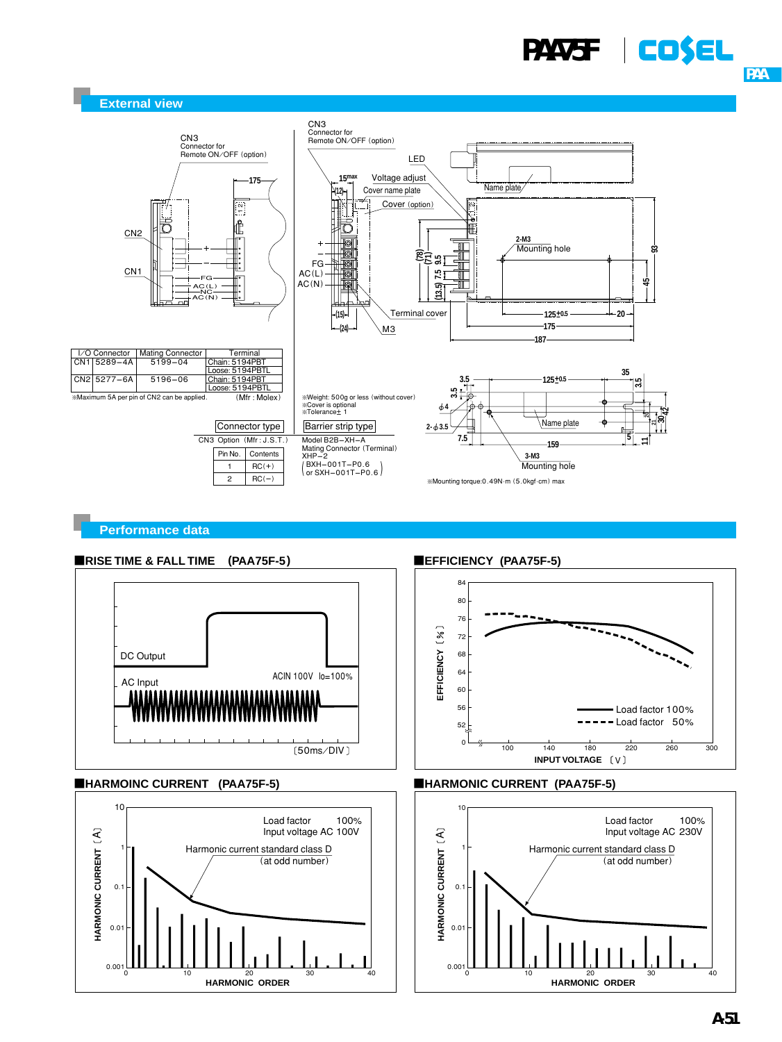# **PAA75F** | **CD\$EL**





### **Performance data**





### **EHARMOINC CURRENT (PAA75F-5)**



**EFFICIENCY (PAA75F-5)** 





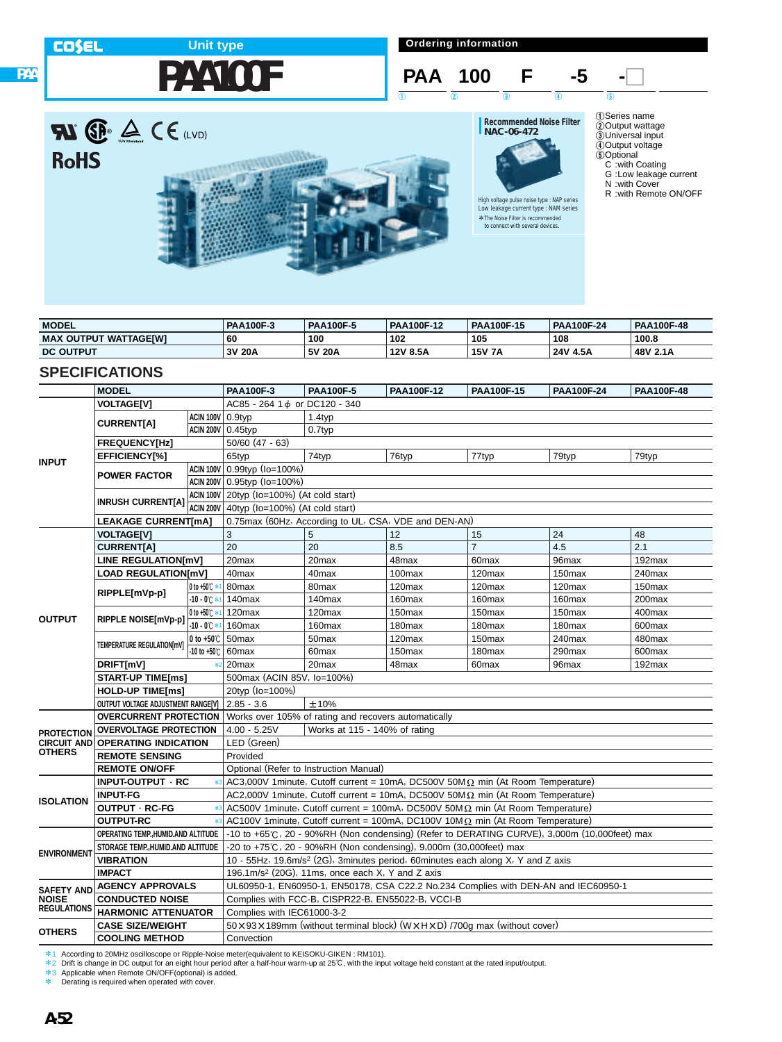**RoHS** 

**PAA**

## **PAA100F Unit type**

**Ordering information**

### **PAA 100 F** -5 - $\begin{array}{ccc} 1 & 0 & 0 \end{array}$  (1)  $\begin{array}{ccc} 1 & 0 & 0 \end{array}$  (5)

High voltage pulse noise type : NAP series Low leakage current type : NAM series \*The Noise Filter is recommended \*to connect with several devices.



- 1Series name 2Output wattage 3Universal input 4Output voltage 5Optional C :with Coating G :Low leakage current
	-
- N :with Cover
- R :with Remote ON/OFF



| <b>MODEL</b>                 | <b>PAA100F-3</b> | <b>PAA100F-5</b> | <b>PAA100F-12</b> | <b>PAA100F-15</b> | <b>PAA100F-24</b> | <b>PAA100F-48</b> |
|------------------------------|------------------|------------------|-------------------|-------------------|-------------------|-------------------|
| <b>MAX OUTPUT WATTAGEIWI</b> | 60               | 100              | 102               | 105               | 108               | 100.8             |
| <b>DC OUTPUT</b>             | 3V 20A           | 5V 20A           | 12V 8.5A          | <b>15V 7A</b>     | 24V 4.5A          | 48V 2.1A          |

### **SPECIFICATIONS**

|                                    | <b>MODEL</b>                                    |                         | <b>PAA100F-3</b>                                     | <b>PAA100F-5</b>                                                             | <b>PAA100F-12</b>  | <b>PAA100F-15</b>                                                                            | <b>PAA100F-24</b>  | PAA100F-48 |  |  |  |
|------------------------------------|-------------------------------------------------|-------------------------|------------------------------------------------------|------------------------------------------------------------------------------|--------------------|----------------------------------------------------------------------------------------------|--------------------|------------|--|--|--|
|                                    | <b>VOLTAGE[V]</b>                               |                         | AC85 - 264 1 $\phi$ or DC120 - 340                   |                                                                              |                    |                                                                                              |                    |            |  |  |  |
|                                    |                                                 | <b>ACIN 100V</b> 0.9typ |                                                      | 1.4typ                                                                       |                    |                                                                                              |                    |            |  |  |  |
|                                    | <b>CURRENT[A]</b>                               |                         | <b>ACIN 200V 0.45typ</b>                             | 0.7typ                                                                       |                    |                                                                                              |                    |            |  |  |  |
|                                    | <b>FREQUENCY[Hz]</b>                            |                         | $50/60$ (47 - 63)                                    |                                                                              |                    |                                                                                              |                    |            |  |  |  |
|                                    | <b>EFFICIENCY[%]</b>                            |                         | 65typ                                                | 74typ                                                                        | 76typ              | 77typ                                                                                        | 79typ              | 79typ      |  |  |  |
| <b>INPUT</b>                       |                                                 |                         | ACIN 100V 0.99typ (Io=100%)                          |                                                                              |                    |                                                                                              |                    |            |  |  |  |
|                                    | <b>POWER FACTOR</b>                             |                         | ACIN 200V 0.95typ (Io=100%)                          |                                                                              |                    |                                                                                              |                    |            |  |  |  |
|                                    |                                                 |                         | ACIN 100V 20typ (Io=100%) (At cold start)            |                                                                              |                    |                                                                                              |                    |            |  |  |  |
|                                    | <b>INRUSH CURRENT[A]</b>                        |                         | ACIN 200V $ 40$ typ ( $Io=100%$ ) (At cold start)    |                                                                              |                    |                                                                                              |                    |            |  |  |  |
|                                    | <b>LEAKAGE CURRENT[mA]</b>                      |                         | 0.75max (60Hz, According to UL, CSA, VDE and DEN-AN) |                                                                              |                    |                                                                                              |                    |            |  |  |  |
|                                    | <b>VOLTAGE[V]</b>                               |                         | 3                                                    | 5                                                                            | 12                 | 15                                                                                           | 24                 | 48         |  |  |  |
|                                    | <b>CURRENT[A]</b>                               |                         | 20                                                   | 20                                                                           | 8.5                | $\overline{7}$                                                                               | 4.5                | 2.1        |  |  |  |
|                                    | <b>LINE REGULATION[mV]</b>                      |                         | 20 <sub>max</sub>                                    | 20max                                                                        | 48max              | 60 <sub>max</sub>                                                                            | 96max              | 192max     |  |  |  |
|                                    | <b>LOAD REGULATION[mV]</b>                      |                         | 40max                                                | 40max                                                                        | 100max             | 120max                                                                                       | 150 <sub>max</sub> | 240max     |  |  |  |
|                                    |                                                 | 0 to $+50^\circ$ :      | 80max                                                | 80 <sub>max</sub>                                                            | 120 <sub>max</sub> | 120max                                                                                       | 120 <sub>max</sub> | 150max     |  |  |  |
|                                    | RIPPLE[mVp-p]                                   | $-10 - 0$ $\circ$       | 140max                                               | 140max                                                                       | 160max             | 160max                                                                                       | 160max             | 200max     |  |  |  |
| <b>OUTPUT</b>                      | RIPPLE NOISE[mVp-p]                             | $0$ to +50°C $*$ 1      | 120max                                               | 120 <sub>max</sub>                                                           | 150 <sub>max</sub> | 150 <sub>max</sub>                                                                           | 150 <sub>max</sub> | 400max     |  |  |  |
|                                    |                                                 | $-10 - 0$ $+$           | 160 <sub>max</sub>                                   | 160 <sub>max</sub>                                                           | 180 <sub>max</sub> | 180max                                                                                       | 180 <sub>max</sub> | 600max     |  |  |  |
|                                    | TEMPERATURE REGULATION[mV]                      | 0 to $+50^\circ$ C      | 50 <sub>max</sub>                                    | 50 <sub>max</sub>                                                            | 120 <sub>max</sub> | 150max                                                                                       | 240max             | 480max     |  |  |  |
|                                    |                                                 | -10 to +50℃             | 60max                                                | 60 <sub>max</sub>                                                            | 150max             | 180max                                                                                       | 290max             | 600max     |  |  |  |
|                                    | DRIFT[mV]                                       |                         | 20 <sub>max</sub>                                    | 20max                                                                        | 48max              | 60 <sub>max</sub>                                                                            | 96max              | 192max     |  |  |  |
|                                    | <b>START-UP TIME[ms]</b>                        |                         | 500max (ACIN 85V, lo=100%)                           |                                                                              |                    |                                                                                              |                    |            |  |  |  |
|                                    | <b>HOLD-UP TIME[ms]</b>                         |                         | 20typ (Io=100%)                                      |                                                                              |                    |                                                                                              |                    |            |  |  |  |
|                                    | OUTPUT VOLTAGE ADJUSTMENT RANGE[V]   2.85 - 3.6 |                         | ±10%                                                 |                                                                              |                    |                                                                                              |                    |            |  |  |  |
|                                    | <b>OVERCURRENT PROTECTION</b>                   |                         |                                                      | Works over 105% of rating and recovers automatically                         |                    |                                                                                              |                    |            |  |  |  |
| <b>PROTECTION</b>                  | <b>OVERVOLTAGE PROTECTION</b>                   |                         | $4.00 - 5.25V$                                       | Works at 115 - 140% of rating                                                |                    |                                                                                              |                    |            |  |  |  |
|                                    | <b>CIRCUIT AND OPERATING INDICATION</b>         |                         | LED (Green)                                          |                                                                              |                    |                                                                                              |                    |            |  |  |  |
| <b>OTHERS</b>                      | <b>REMOTE SENSING</b>                           |                         | Provided                                             |                                                                              |                    |                                                                                              |                    |            |  |  |  |
|                                    | <b>REMOTE ON/OFF</b>                            |                         |                                                      | Optional (Refer to Instruction Manual)                                       |                    |                                                                                              |                    |            |  |  |  |
|                                    | INPUT-OUTPUT · RC                               |                         |                                                      |                                                                              |                    | AC3,000V 1minute, Cutoff current = 10mA, DC500V 50M $\Omega$ min (At Room Temperature)       |                    |            |  |  |  |
| <b>ISOLATION</b>                   | <b>INPUT-FG</b>                                 |                         |                                                      |                                                                              |                    | AC2,000V 1minute, Cutoff current = 10mA, DC500V 50M $\Omega$ min (At Room Temperature)       |                    |            |  |  |  |
|                                    | OUTPUT · RC-FG                                  |                         |                                                      |                                                                              |                    | AC500V 1minute, Cutoff current = 100mA, DC500V 50M $\Omega$ min (At Room Temperature)        |                    |            |  |  |  |
|                                    | <b>OUTPUT-RC</b>                                |                         |                                                      |                                                                              |                    | AC100V 1minute, Cutoff current = 100mA, DC100V 10M $\Omega$ min (At Room Temperature)        |                    |            |  |  |  |
|                                    | OPERATING TEMP., HUMID.AND ALTITUDE             |                         |                                                      |                                                                              |                    | -10 to +65°C, 20 - 90%RH (Non condensing) (Refer to DERATING CURVE), 3,000m (10,000feet) max |                    |            |  |  |  |
| <b>ENVIRONMENT</b>                 | STORAGE TEMP. HUMID.AND ALTITUDE                |                         |                                                      | -20 to +75 $\degree$ C, 20 - 90%RH (Non condensing), 9,000m (30,000feet) max |                    |                                                                                              |                    |            |  |  |  |
|                                    | <b>VIBRATION</b>                                |                         |                                                      |                                                                              |                    | 10 - 55Hz, 19.6m/s <sup>2</sup> (2G), 3minutes period, 60minutes each along X, Y and Z axis  |                    |            |  |  |  |
|                                    | <b>IMPACT</b>                                   |                         |                                                      | 196.1m/s <sup>2</sup> (20G), 11ms, once each $X$ , Y and Z axis              |                    |                                                                                              |                    |            |  |  |  |
| <b>SAFETY AND</b>                  | <b>AGENCY APPROVALS</b>                         |                         |                                                      |                                                                              |                    | UL60950-1, EN60950-1, EN50178, CSA C22.2 No.234 Complies with DEN-AN and IEC60950-1          |                    |            |  |  |  |
| <b>NOISE</b><br><b>REGULATIONS</b> | <b>CONDUCTED NOISE</b>                          |                         |                                                      | Complies with FCC-B, CISPR22-B, EN55022-B, VCCI-B                            |                    |                                                                                              |                    |            |  |  |  |
|                                    | <b>HARMONIC ATTENUATOR</b>                      |                         | Complies with IEC61000-3-2                           |                                                                              |                    |                                                                                              |                    |            |  |  |  |
| <b>OTHERS</b>                      | <b>CASE SIZE/WEIGHT</b>                         |                         |                                                      |                                                                              |                    | 50 x 93 x 189mm (without terminal block) (W x H x D) /700q max (without cover)               |                    |            |  |  |  |
|                                    | <b>COOLING METHOD</b>                           |                         | Convection                                           |                                                                              |                    |                                                                                              |                    |            |  |  |  |

水1 According to 20MHz oscilloscope or Ripple-Noise meter(equivalent to KEISOKU-GIKEN : RM101).<br>\*2 Drift is change in DC output for an eight hour period after a half-hour warm-up at 25℃, with the input voltage held consta

\* Derating is required when operated with cover.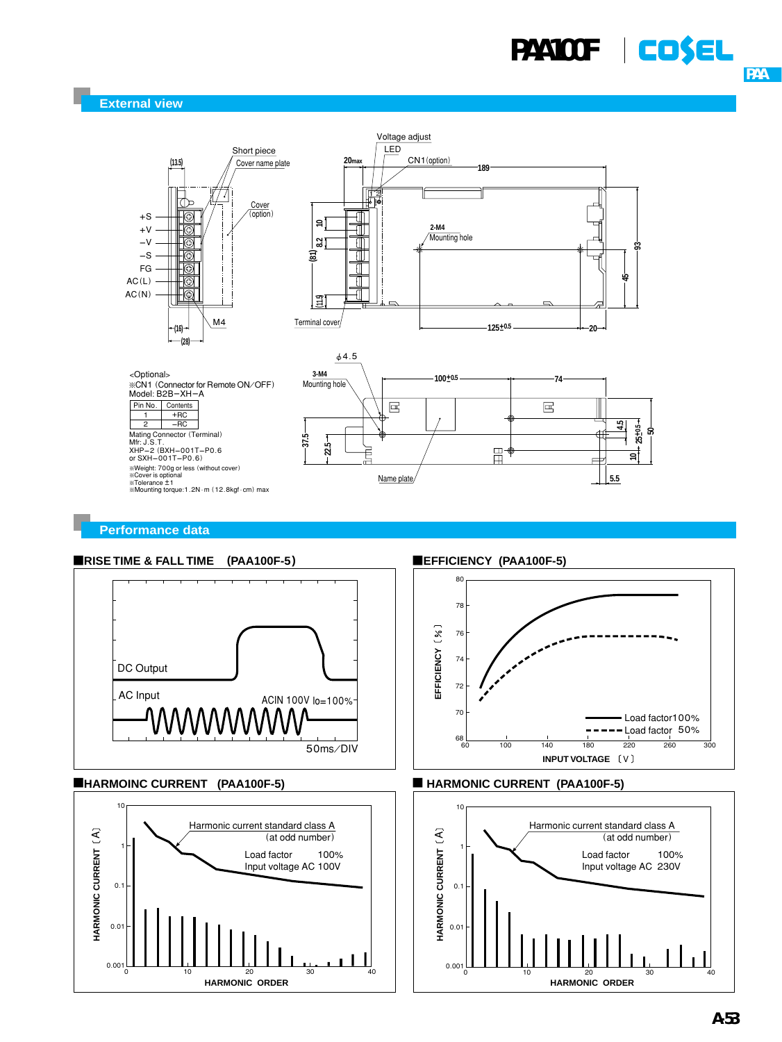

**Performance data**

### ¡**RISE TIME & FALL TIME (PAA100F-5)**



### ¡**HARMOINC CURRENT (PAA100F-5)**



**EFFICIENCY (PAA100F-5)** 





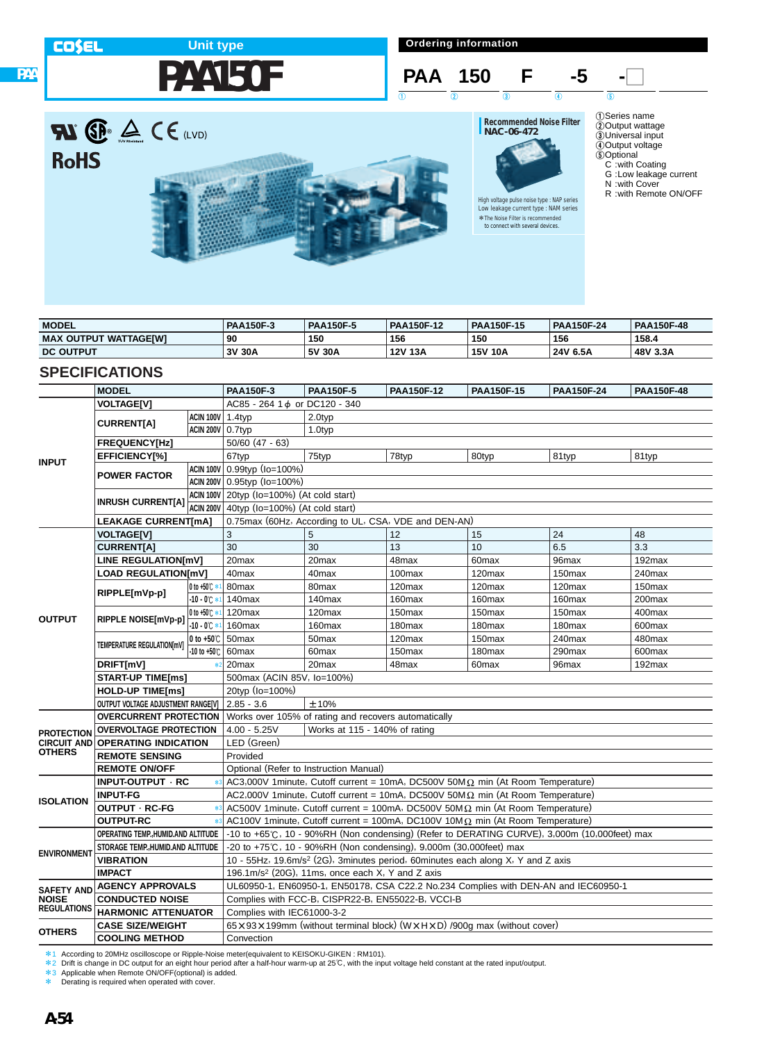**PAA**

## **PAA150F Unit type**

**Ordering information**



# **RI P**  $\triangle$  C E (LVD) **RoHS**



# **Recommended Noise Filter NAC-06-472**

High voltage pulse noise type : NAP series Low leakage current type : NAM series \*The Noise Filter is recommended \*to connect with several devices.



- N :with Cover
- R :with Remote ON/OFF

| <b>MODEL</b>                 | <b>PAA150F-3</b> | <b>PAA150F-5</b> | <b>PAA150F-12</b> | <b>PAA150F-15</b> | <b>PAA150F-24</b> | <b>PAA150F-48</b> |
|------------------------------|------------------|------------------|-------------------|-------------------|-------------------|-------------------|
| <b>MAX OUTPUT WATTAGEIWI</b> | 90               | 150              | 156               | 150               | 156               | 158.4             |
| <b>DC OUTPUT</b>             | 3V 30A           | 5V 30A           | 12V 13A           | <b>15V 10A</b>    | 24V 6.5A          | 48V 3.3A          |

### **SPECIFICATIONS**

|                                    | <b>MODEL</b>                                                                       |                         | <b>PAA150F-3</b>                                     | <b>PAA150F-5</b>                                                             | PAA150F-12         | <b>PAA150F-15</b>                                                                            | PAA150F-24         | PAA150F-48 |  |  |
|------------------------------------|------------------------------------------------------------------------------------|-------------------------|------------------------------------------------------|------------------------------------------------------------------------------|--------------------|----------------------------------------------------------------------------------------------|--------------------|------------|--|--|
|                                    | <b>VOLTAGE[V]</b>                                                                  |                         | AC85 - 264 1 d or DC120 - 340                        |                                                                              |                    |                                                                                              |                    |            |  |  |
|                                    |                                                                                    | ACIN 100V 1.4typ        |                                                      | 2.0typ                                                                       |                    |                                                                                              |                    |            |  |  |
|                                    | <b>CURRENT[A]</b>                                                                  | <b>ACIN 200V 0.7typ</b> |                                                      | 1.0typ                                                                       |                    |                                                                                              |                    |            |  |  |
|                                    | <b>FREQUENCY[Hz]</b>                                                               |                         | $50/60$ (47 - 63)                                    |                                                                              |                    |                                                                                              |                    |            |  |  |
|                                    | <b>EFFICIENCY[%]</b>                                                               |                         | 67typ                                                | 75typ                                                                        | 78typ              | 80typ                                                                                        | 81typ              | 81typ      |  |  |
| <b>INPUT</b>                       |                                                                                    |                         | ACIN 100V 0.99typ (Io=100%)                          |                                                                              |                    |                                                                                              |                    |            |  |  |
|                                    | <b>POWER FACTOR</b>                                                                |                         | ACIN 200V 0.95typ (Io=100%)                          |                                                                              |                    |                                                                                              |                    |            |  |  |
|                                    |                                                                                    |                         | ACIN 100V 20typ (Io=100%) (At cold start)            |                                                                              |                    |                                                                                              |                    |            |  |  |
|                                    | <b>INRUSH CURRENT[A]</b>                                                           |                         | ACIN 200V $ 40$ typ ( $Io=100%$ ) (At cold start)    |                                                                              |                    |                                                                                              |                    |            |  |  |
|                                    | <b>LEAKAGE CURRENT[mA]</b>                                                         |                         | 0.75max (60Hz, According to UL, CSA, VDE and DEN-AN) |                                                                              |                    |                                                                                              |                    |            |  |  |
|                                    | <b>VOLTAGE[V]</b>                                                                  |                         | 3                                                    | 5                                                                            | 12                 | 15                                                                                           | 24                 | 48         |  |  |
|                                    | <b>CURRENT[A]</b>                                                                  |                         | 30                                                   | 30                                                                           | 13                 | 10                                                                                           | 6.5                | 3.3        |  |  |
|                                    | <b>LINE REGULATION[mV]</b>                                                         |                         | 20max                                                | 20max                                                                        | 48max              | 60max                                                                                        | 96max              | 192max     |  |  |
|                                    | <b>LOAD REGULATIONIMVI</b>                                                         |                         | 40max                                                | 40max                                                                        | $100$ max          | 120max                                                                                       | 150 <sub>max</sub> | 240max     |  |  |
|                                    |                                                                                    | 0 to +50℃ *             | 80max                                                | 80 <sub>max</sub>                                                            | 120 <sub>max</sub> | 120 <sub>max</sub>                                                                           | 120 <sub>max</sub> | 150max     |  |  |
|                                    | RIPPLE[mVp-p]                                                                      | $-10 - 0^{\circ}$       | 140max                                               | 140 <sub>max</sub>                                                           | 160max             | 160max                                                                                       | 160max             | 200max     |  |  |
|                                    |                                                                                    | 0 to +50℃ *             | 120max                                               | 120 <sub>max</sub>                                                           | 150 <sub>max</sub> | 150max                                                                                       | 150 <sub>max</sub> | 400max     |  |  |
| <b>OUTPUT</b>                      | RIPPLE NOISE[mVp-p]                                                                | $-10 - 0$ $\circ$       | 160 <sub>max</sub>                                   | 160 <sub>max</sub>                                                           | 180max             | 180max                                                                                       | 180max             | 600max     |  |  |
|                                    |                                                                                    | 0 to $+50^\circ$ C      | 50 <sub>max</sub>                                    | 50 <sub>max</sub>                                                            | 120max             | 150max                                                                                       | 240max             | 480max     |  |  |
|                                    | TEMPERATURE REGULATION[mV]                                                         | -10 to +50℃             | 60max                                                | 60 <sub>max</sub>                                                            | 150 <sub>max</sub> | 180max                                                                                       | 290max             | 600max     |  |  |
|                                    | DRIFT[mV]                                                                          | 火2                      | 20max                                                | 20max                                                                        | 48max              | 60 <sub>max</sub>                                                                            | 96 <sub>max</sub>  | 192max     |  |  |
|                                    | <b>START-UP TIME[ms]</b>                                                           |                         | 500max (ACIN 85V, Io=100%)                           |                                                                              |                    |                                                                                              |                    |            |  |  |
|                                    | <b>HOLD-UP TIME[ms]</b>                                                            |                         | 20typ (lo=100%)                                      |                                                                              |                    |                                                                                              |                    |            |  |  |
|                                    | OUTPUT VOLTAGE ADJUSTMENT RANGE[V]   2.85 - 3.6                                    |                         | ±10%                                                 |                                                                              |                    |                                                                                              |                    |            |  |  |
|                                    | <b>OVERCURRENT PROTECTION</b> Works over 105% of rating and recovers automatically |                         |                                                      |                                                                              |                    |                                                                                              |                    |            |  |  |
| <b>PROTECTION</b>                  | <b>OVERVOLTAGE PROTECTION</b>                                                      |                         | $4.00 - 5.25V$                                       | Works at 115 - 140% of rating                                                |                    |                                                                                              |                    |            |  |  |
|                                    | <b>CIRCUIT AND OPERATING INDICATION</b>                                            |                         | LED (Green)                                          |                                                                              |                    |                                                                                              |                    |            |  |  |
| <b>OTHERS</b>                      | <b>REMOTE SENSING</b>                                                              |                         | Provided                                             |                                                                              |                    |                                                                                              |                    |            |  |  |
|                                    | <b>REMOTE ON/OFF</b>                                                               |                         |                                                      | Optional (Refer to Instruction Manual)                                       |                    |                                                                                              |                    |            |  |  |
|                                    | INPUT-OUTPUT · RC                                                                  |                         |                                                      |                                                                              |                    | AC3,000V 1minute, Cutoff current = 10mA, DC500V 50M $\Omega$ min (At Room Temperature)       |                    |            |  |  |
| <b>ISOLATION</b>                   | <b>INPUT-FG</b>                                                                    |                         |                                                      |                                                                              |                    | AC2,000V 1minute, Cutoff current = 10mA, DC500V 50M $\Omega$ min (At Room Temperature)       |                    |            |  |  |
|                                    | <b>OUTPUT · RC-FG</b>                                                              | $*3$                    |                                                      |                                                                              |                    | AC500V 1 minute, Cutoff current = 100mA, DC500V 50M $\Omega$ min (At Room Temperature)       |                    |            |  |  |
|                                    | <b>OUTPUT-RC</b>                                                                   |                         |                                                      |                                                                              |                    | AC100V 1minute, Cutoff current = 100mA, DC100V 10M $\Omega$ min (At Room Temperature)        |                    |            |  |  |
|                                    | OPERATING TEMP., HUMID.AND ALTITUDE                                                |                         |                                                      |                                                                              |                    | -10 to +65°C, 10 - 90%RH (Non condensing) (Refer to DERATING CURVE), 3,000m (10,000feet) max |                    |            |  |  |
| <b>ENVIRONMENT</b>                 | STORAGE TEMP., HUMID. AND ALTITUDE                                                 |                         |                                                      | -20 to +75 $\degree$ C, 10 - 90%RH (Non condensing), 9,000m (30,000feet) max |                    |                                                                                              |                    |            |  |  |
|                                    | <b>VIBRATION</b>                                                                   |                         |                                                      |                                                                              |                    | 10 - 55Hz, 19.6m/s <sup>2</sup> (2G), 3minutes period, 60minutes each along X, Y and Z axis  |                    |            |  |  |
|                                    | <b>IMPACT</b>                                                                      |                         |                                                      | 196.1m/s <sup>2</sup> (20G), 11ms, once each $X$ , Y and Z axis              |                    |                                                                                              |                    |            |  |  |
| <b>SAFETY AND</b>                  | <b>AGENCY APPROVALS</b>                                                            |                         |                                                      |                                                                              |                    | UL60950-1, EN60950-1, EN50178, CSA C22.2 No.234 Complies with DEN-AN and IEC60950-1          |                    |            |  |  |
| <b>NOISE</b><br><b>REGULATIONS</b> | <b>CONDUCTED NOISE</b>                                                             |                         |                                                      | Complies with FCC-B, CISPR22-B, EN55022-B, VCCI-B                            |                    |                                                                                              |                    |            |  |  |
|                                    | <b>HARMONIC ATTENUATOR</b>                                                         |                         | Complies with IEC61000-3-2                           |                                                                              |                    |                                                                                              |                    |            |  |  |
| <b>OTHERS</b>                      | <b>CASE SIZE/WEIGHT</b>                                                            |                         |                                                      |                                                                              |                    | 65 x 93 x 199mm (without terminal block) (W x H x D) /900g max (without cover)               |                    |            |  |  |
|                                    | <b>COOLING METHOD</b>                                                              |                         | Convection                                           |                                                                              |                    |                                                                                              |                    |            |  |  |

水1 According to 20MHz oscilloscope or Ripple-Noise meter(equivalent to KEISOKU-GIKEN : RM101).<br>\*2 Drift is change in DC output for an eight hour period after a half-hour warm-up at 25℃, with the input voltage held consta

\* Derating is required when operated with cover.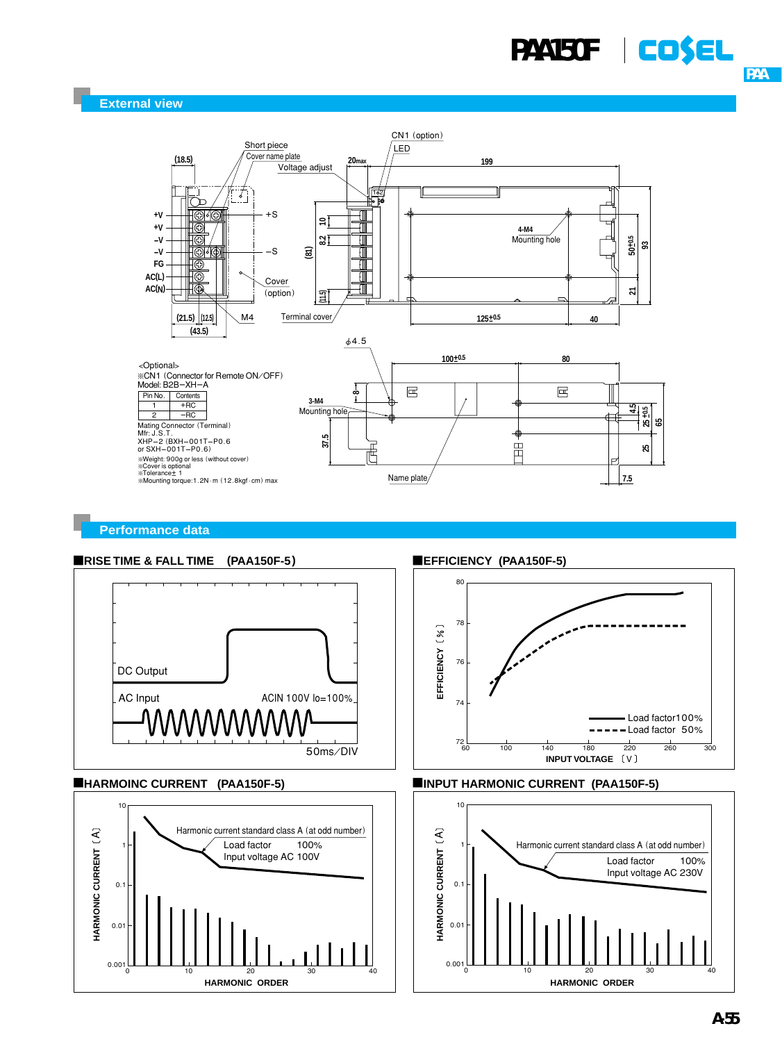

**Performance data**

### **ERISE TIME & FALL TIME (PAA150F-5)**



### ¡**HARMOINC CURRENT (PAA150F-5)**



**EFFICIENCY (PAA150F-5)** 





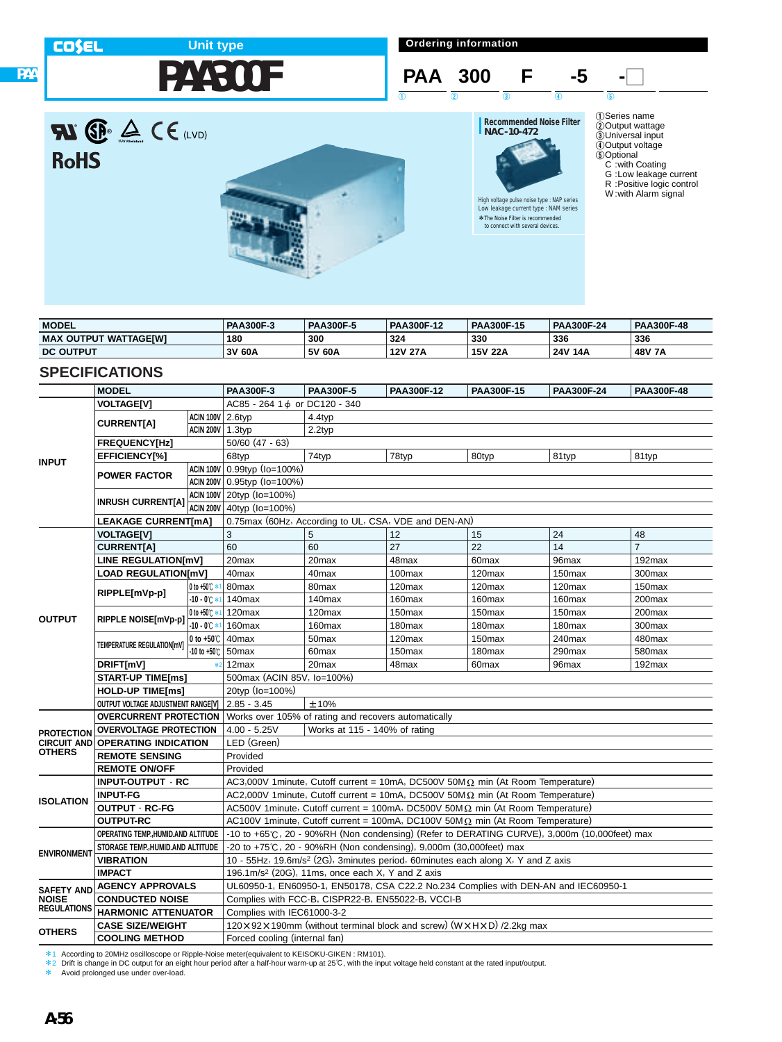**RoHS** 

**PAA**

## **PAA300F Unit type**

**Ordering information**





\*The Noise Filter is recommended \*to connect with several devices.

High voltage pulse noise type : NAP series Low leakage current type : NAM series

1Series name 2Output wattage 3Universal input 4Output voltage 5Optional C :with Coating G :Low leakage current R :Positive logic control W :with Alarm signal



| <b>MODEL</b>                      | <b>PAA300F-3</b> | <b>PAA300F-5</b> | <b>PAA300F-12</b> | PAA300F-15     | <b>PAA300F-24</b> | <b>PAA300F-48</b> |
|-----------------------------------|------------------|------------------|-------------------|----------------|-------------------|-------------------|
| <b>MAX</b><br>: OUTPUT WATTAGEIWI | 180              | 300              | 324               | 330            | 336               | 336               |
| <b>DC OUTPUT</b>                  | 3V 60A           | 5V 60A           | <b>12V 27A</b>    | <b>15V 22A</b> | 24V 14A           | 48V 7A            |

### **SPECIFICATIONS**

|                                    | <b>MODEL</b>                                                                       |                    | <b>PAA300F-3</b>                                     | <b>PAA300F-5</b>                                                  | <b>PAA300F-12</b> | PAA300F-15                                                                                   | PAA300F-24         | PAA300F-48     |  |  |  |
|------------------------------------|------------------------------------------------------------------------------------|--------------------|------------------------------------------------------|-------------------------------------------------------------------|-------------------|----------------------------------------------------------------------------------------------|--------------------|----------------|--|--|--|
|                                    | <b>VOLTAGE[V]</b>                                                                  |                    | AC85 - 264 1 d or DC120 - 340                        |                                                                   |                   |                                                                                              |                    |                |  |  |  |
|                                    |                                                                                    | ACIN 100V 2.6typ   |                                                      | 4.4typ                                                            |                   |                                                                                              |                    |                |  |  |  |
|                                    | <b>CURRENT[A]</b>                                                                  | ACIN 200V 1.3typ   |                                                      | 2.2typ                                                            |                   |                                                                                              |                    |                |  |  |  |
|                                    | <b>FREQUENCY[Hz]</b>                                                               |                    | $50/60$ (47 - 63)                                    |                                                                   |                   |                                                                                              |                    |                |  |  |  |
|                                    | <b>EFFICIENCY[%]</b>                                                               |                    | 68typ                                                | 74typ                                                             | 78typ             | 80typ                                                                                        | 81typ              | 81typ          |  |  |  |
| <b>INPUT</b>                       |                                                                                    |                    | ACIN 100V 0.99typ (Io=100%)                          |                                                                   |                   |                                                                                              |                    |                |  |  |  |
|                                    | <b>POWER FACTOR</b>                                                                |                    | ACIN 200V 0.95typ (Io=100%)                          |                                                                   |                   |                                                                                              |                    |                |  |  |  |
|                                    |                                                                                    |                    | ACIN 100V 20typ (Io=100%)                            |                                                                   |                   |                                                                                              |                    |                |  |  |  |
|                                    | <b>INRUSH CURRENT[A]</b>                                                           |                    | ACIN 200V 40typ (Io=100%)                            |                                                                   |                   |                                                                                              |                    |                |  |  |  |
|                                    | <b>LEAKAGE CURRENT[mA]</b>                                                         |                    | 0.75max (60Hz, According to UL, CSA, VDE and DEN-AN) |                                                                   |                   |                                                                                              |                    |                |  |  |  |
|                                    | <b>VOLTAGE[V]</b>                                                                  |                    | 3                                                    | 5                                                                 | 12                | 15                                                                                           | 24                 | 48             |  |  |  |
|                                    | <b>CURRENT[A]</b>                                                                  |                    | 60                                                   | 60                                                                | 27                | 22                                                                                           | 14                 | $\overline{7}$ |  |  |  |
|                                    | <b>LINE REGULATION[mV]</b>                                                         |                    | 20max                                                | 20 <sub>max</sub>                                                 | 48max             | 60max                                                                                        | 96max              | 192max         |  |  |  |
|                                    | <b>LOAD REGULATION[mV]</b>                                                         |                    | 40max                                                | 40 <sub>max</sub>                                                 | 100max            | 120max                                                                                       | 150max             | 300max         |  |  |  |
|                                    |                                                                                    | 0 to +50 C *       | 80max                                                | 80max                                                             | 120max            | 120max                                                                                       | 120 <sub>max</sub> | 150max         |  |  |  |
|                                    | RIPPLE[mVp-p]                                                                      | $-10 - 0$ $\circ$  | 140max                                               | 140max                                                            | 160max            | 160max                                                                                       | 160max             | 200max         |  |  |  |
| <b>OUTPUT</b>                      | RIPPLE NOISE[mVp-p]                                                                | 0 to +50°C *       | 120max                                               | 120max                                                            | 150max            | 150max                                                                                       | 150max             | 200max         |  |  |  |
|                                    |                                                                                    | $-10 - 0$ $C$ $*$  | 160max                                               | 160max                                                            | 180max            | 180max                                                                                       | 180max             | 300max         |  |  |  |
|                                    | TEMPERATURE REGULATION[mV]                                                         | 0 to $+50^\circ$ C | 40max                                                | 50 <sub>max</sub>                                                 | 120max            | 150max                                                                                       | 240max             | 480max         |  |  |  |
|                                    |                                                                                    | -10 to +50℃        | 50 <sub>max</sub>                                    | 60max                                                             | 150max            | 180max                                                                                       | 290max             | 580max         |  |  |  |
|                                    | DRIFT[mV]                                                                          | 80                 | 12max                                                | 20 <sub>max</sub>                                                 | 48max             | 60 <sub>max</sub>                                                                            | 96max              | 192max         |  |  |  |
|                                    | <b>START-UP TIME[ms]</b>                                                           |                    | 500max (ACIN 85V, lo=100%)                           |                                                                   |                   |                                                                                              |                    |                |  |  |  |
|                                    | <b>HOLD-UP TIME[ms]</b>                                                            |                    | 20typ (Io=100%)                                      |                                                                   |                   |                                                                                              |                    |                |  |  |  |
|                                    | OUTPUT VOLTAGE ADJUSTMENT RANGE[V]   2.85 - 3.45                                   |                    |                                                      | ±10%                                                              |                   |                                                                                              |                    |                |  |  |  |
|                                    | <b>OVERCURRENT PROTECTION</b> Works over 105% of rating and recovers automatically |                    |                                                      |                                                                   |                   |                                                                                              |                    |                |  |  |  |
| <b>PROTECTION</b>                  | <b>OVERVOLTAGE PROTECTION</b>                                                      |                    | $4.00 - 5.25V$                                       | Works at 115 - 140% of rating                                     |                   |                                                                                              |                    |                |  |  |  |
|                                    | <b>CIRCUIT AND OPERATING INDICATION</b>                                            |                    | LED (Green)                                          |                                                                   |                   |                                                                                              |                    |                |  |  |  |
| <b>OTHERS</b>                      | <b>REMOTE SENSING</b>                                                              |                    | Provided                                             |                                                                   |                   |                                                                                              |                    |                |  |  |  |
|                                    | <b>REMOTE ON/OFF</b>                                                               |                    | Provided                                             |                                                                   |                   |                                                                                              |                    |                |  |  |  |
|                                    | INPUT-OUTPUT · RC                                                                  |                    |                                                      |                                                                   |                   | AC3,000V 1minute, Cutoff current = 10mA, DC500V 50M $\Omega$ min (At Room Temperature)       |                    |                |  |  |  |
| <b>ISOLATION</b>                   | <b>INPUT-FG</b>                                                                    |                    |                                                      |                                                                   |                   | AC2,000V 1minute, Cutoff current = 10mA, DC500V 50M $\Omega$ min (At Room Temperature)       |                    |                |  |  |  |
|                                    | <b>OUTPUT · RC-FG</b>                                                              |                    |                                                      |                                                                   |                   | AC500V 1minute, Cutoff current = 100mA, DC500V 50M $\Omega$ min (At Room Temperature)        |                    |                |  |  |  |
|                                    | <b>OUTPUT-RC</b>                                                                   |                    |                                                      |                                                                   |                   | AC100V 1minute, Cutoff current = 100mA, DC100V 50M $\Omega$ min (At Room Temperature)        |                    |                |  |  |  |
|                                    | OPERATING TEMP., HUMID.AND ALTITUDE                                                |                    |                                                      |                                                                   |                   | -10 to +65°C, 20 - 90%RH (Non condensing) (Refer to DERATING CURVE), 3,000m (10,000feet) max |                    |                |  |  |  |
| <b>ENVIRONMENT</b>                 | STORAGE TEMP., HUMID. AND ALTITUDE                                                 |                    |                                                      | -20 to +75℃, 20 - 90%RH (Non condensing), 9,000m (30,000feet) max |                   |                                                                                              |                    |                |  |  |  |
|                                    | <b>VIBRATION</b>                                                                   |                    |                                                      |                                                                   |                   | 10 - 55Hz, 19.6m/s <sup>2</sup> (2G), 3minutes period, 60minutes each along X, Y and Z axis  |                    |                |  |  |  |
|                                    | <b>IMPACT</b>                                                                      |                    |                                                      | 196.1m/s <sup>2</sup> (20G), 11ms, once each X, Y and Z axis      |                   |                                                                                              |                    |                |  |  |  |
| <b>SAFETY AND</b>                  | <b>AGENCY APPROVALS</b>                                                            |                    |                                                      |                                                                   |                   | UL60950-1, EN60950-1, EN50178, CSA C22.2 No.234 Complies with DEN-AN and IEC60950-1          |                    |                |  |  |  |
| <b>NOISE</b><br><b>REGULATIONS</b> | <b>CONDUCTED NOISE</b>                                                             |                    |                                                      | Complies with FCC-B, CISPR22-B, EN55022-B, VCCI-B                 |                   |                                                                                              |                    |                |  |  |  |
|                                    | <b>HARMONIC ATTENUATOR</b>                                                         |                    | Complies with IEC61000-3-2                           |                                                                   |                   |                                                                                              |                    |                |  |  |  |
| <b>OTHERS</b>                      | <b>CASE SIZE/WEIGHT</b>                                                            |                    |                                                      |                                                                   |                   | 120 x 92 x 190mm (without terminal block and screw) (W x H x D) /2.2kg max                   |                    |                |  |  |  |
|                                    | <b>COOLING METHOD</b><br>Forced cooling (internal fan)                             |                    |                                                      |                                                                   |                   |                                                                                              |                    |                |  |  |  |

\*1 According to 20MHz oscilloscope or Ripple-Noise meter(equivalent to KEISOKU-GIKEN : RM101).

\*2 Drift is change in DC output for an eight hour period after a half-hour warm-up at 25℃, with the input voltage held constant at the rated input/output.<br>\* Avoid prolonged use under over-load.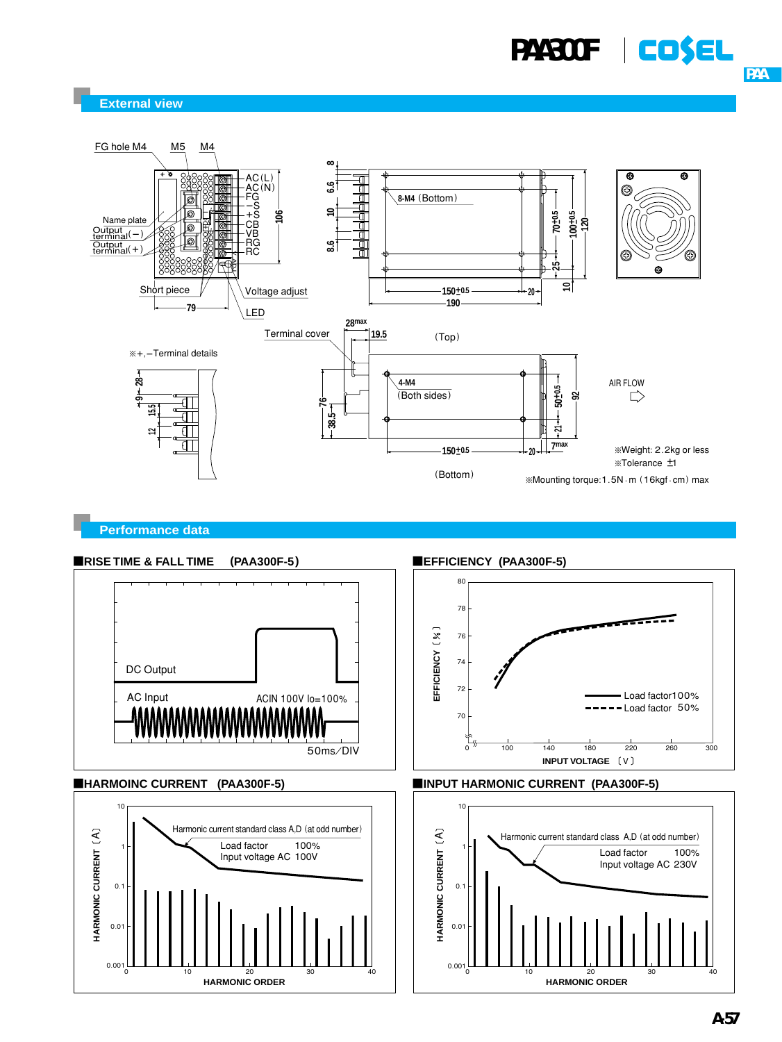



**Performance data**









¡**EFFICIENCY (PAA300F-5)**





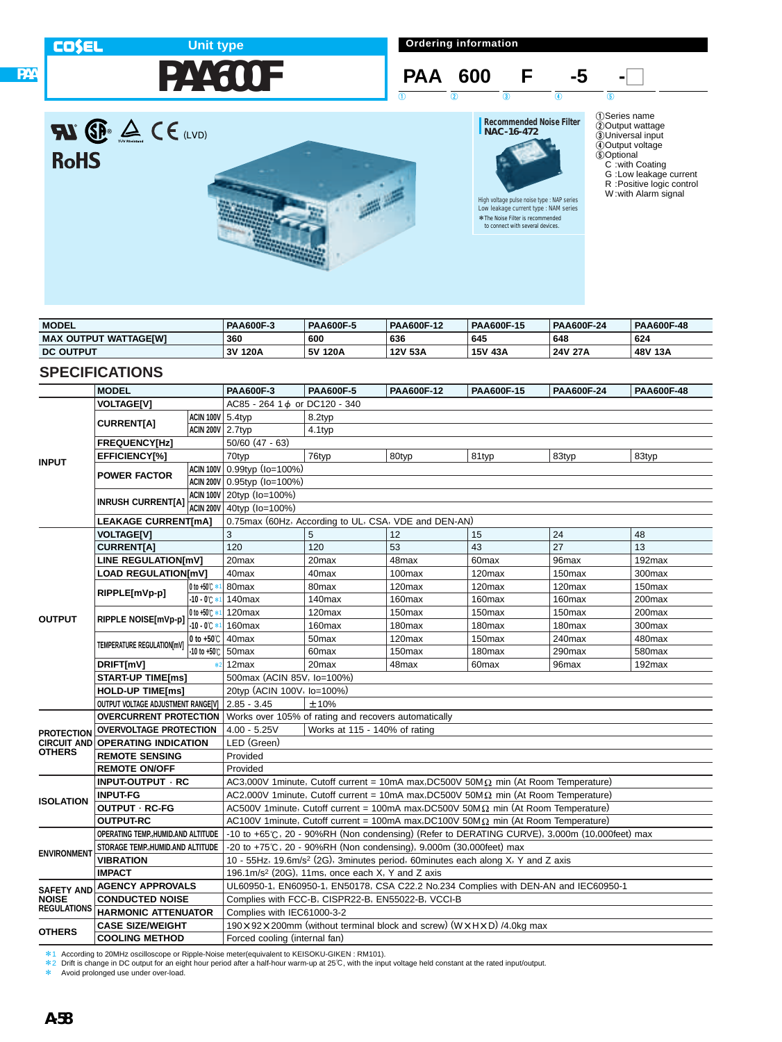**PAA**

# **PAA600F Unit type**

**Ordering information**



# **RI P**  $\triangle$  CE (LVD) **RoHS**



# **Recommended Noise Filter NAC-16-472**

High voltage pulse noise type : NAP series Low leakage current type : NAM series \*The Noise Filter is recommended \*to connect with several devices.

1Series name 2Output wattage 3Universal input 4Output voltage 5Optional C :with Coating G :Low leakage current R :Positive logic control W :with Alarm signal

| <b>MODEL</b>                 | <b>PAA600F-3</b> | <b>PAA600F-5</b> | <b>PAA600F-12</b> | PAA600F-15 | <b>PAA600F-24</b> | <b>PAA600F-48</b> |
|------------------------------|------------------|------------------|-------------------|------------|-------------------|-------------------|
| <b>MAX OUTPUT WATTAGEIWI</b> | 360              | 600              | 636               | 645        | 648               | 624               |
| <b>DC OUTPUT</b>             | ٦V<br>120A       | 5V 120A          | 12V 53A           | 15V 43A    | 24V 27A           | 48V 13A           |

### **SPECIFICATIONS**

|                                                         | <b>MODEL</b>                                      |                        | <b>PAA600F-3</b>                                                                                         | <b>PAA600F-5</b>  | PAA600F-12 | PAA600F-15         | PAA600F-24         | PAA600F-48 |
|---------------------------------------------------------|---------------------------------------------------|------------------------|----------------------------------------------------------------------------------------------------------|-------------------|------------|--------------------|--------------------|------------|
|                                                         | <b>VOLTAGE[V]</b>                                 |                        | AC85 - 264 1 d or DC120 - 340                                                                            |                   |            |                    |                    |            |
| <b>INPUT</b>                                            |                                                   |                        | <b>ACIN 100V</b> 5.4typ<br>8.2typ                                                                        |                   |            |                    |                    |            |
|                                                         | <b>CURRENT[A]</b>                                 | ACIN 200V 2.7typ       | 4.1typ                                                                                                   |                   |            |                    |                    |            |
|                                                         | <b>FREQUENCY[Hz]</b>                              |                        | $50/60$ (47 - 63)                                                                                        |                   |            |                    |                    |            |
|                                                         | <b>EFFICIENCY[%]</b>                              |                        | 70typ                                                                                                    | 76typ             | 80typ      | 81typ              | 83typ              | 83typ      |
|                                                         |                                                   |                        | ACIN 100V 0.99typ (Io=100%)                                                                              |                   |            |                    |                    |            |
|                                                         | <b>POWER FACTOR</b>                               |                        | ACIN 200V 0.95typ (Io=100%)                                                                              |                   |            |                    |                    |            |
|                                                         |                                                   |                        | ACIN 100V 20typ (Io=100%)                                                                                |                   |            |                    |                    |            |
|                                                         | <b>INRUSH CURRENT[A]</b>                          |                        | ACIN 200V 40typ (Io=100%)                                                                                |                   |            |                    |                    |            |
|                                                         | <b>LEAKAGE CURRENT[mA]</b>                        |                        | 0.75max (60Hz, According to UL, CSA, VDE and DEN-AN)                                                     |                   |            |                    |                    |            |
|                                                         | <b>VOLTAGE[V]</b>                                 |                        | 3                                                                                                        | 5                 | 12         | 15                 | 24                 | 48         |
| <b>OUTPUT</b>                                           | <b>CURRENT[A]</b>                                 |                        | 120                                                                                                      | 120               | 53         | 43                 | 27                 | 13         |
|                                                         | LINE REGULATION[mV]                               |                        | 20 <sub>max</sub>                                                                                        | 20 <sub>max</sub> | 48max      | 60max              | 96max              | 192max     |
|                                                         | <b>LOAD REGULATION[mV]</b>                        |                        | 40max                                                                                                    | 40 <sub>max</sub> | 100max     | 120 <sub>max</sub> | 150 <sub>max</sub> | 300max     |
|                                                         | RIPPLE[mVp-p]                                     | 0 to +50℃ *            | 80max                                                                                                    | 80 <sub>max</sub> | 120max     | 120max             | 120max             | 150max     |
|                                                         |                                                   | $-10 - 0$ $\circ$      | 140max                                                                                                   | 140max            | 160max     | 160max             | 160max             | 200max     |
|                                                         | RIPPLE NOISE[mVp-p]                               | 0 to +50℃ *1           | 120max                                                                                                   | 120max            | 150max     | 150 <sub>max</sub> | 150 <sub>max</sub> | 200max     |
|                                                         |                                                   | $-10 - 0$ <sup>*</sup> | 160max                                                                                                   | 160max            | 180max     | 180 <sub>max</sub> | 180 <sub>max</sub> | 300max     |
|                                                         | TEMPERATURE REGULATION[mV]                        | 0 to $+50^\circ$ C     | 40max                                                                                                    | 50max             | 120max     | 150max             | 240max             | 480max     |
|                                                         |                                                   | -10 to +50℃            | <b>50max</b>                                                                                             | 60max             | 150max     | 180max             | 290max             | 580max     |
|                                                         | DRIFT[mV]                                         |                        | 12 <sub>max</sub>                                                                                        | 20max             | 48max      | 60 <sub>max</sub>  | 96max              | 192max     |
|                                                         | <b>START-UP TIME[ms]</b>                          |                        | 500max (ACIN 85V, lo=100%)                                                                               |                   |            |                    |                    |            |
|                                                         | <b>HOLD-UP TIME[ms]</b>                           |                        | 20typ (ACIN 100V, lo=100%)                                                                               |                   |            |                    |                    |            |
|                                                         | OUTPUT VOLTAGE ADJUSTMENT RANGE[V]                |                        | $2.85 - 3.45$<br>±10%                                                                                    |                   |            |                    |                    |            |
| <b>PROTECTION</b><br><b>OTHERS</b>                      | <b>OVERCURRENT PROTECTION</b>                     |                        | Works over 105% of rating and recovers automatically                                                     |                   |            |                    |                    |            |
|                                                         | <b>OVERVOLTAGE PROTECTION</b>                     |                        | $4.00 - 5.25V$<br>Works at 115 - 140% of rating                                                          |                   |            |                    |                    |            |
|                                                         | <b>CIRCUIT AND OPERATING INDICATION</b>           |                        | LED (Green)                                                                                              |                   |            |                    |                    |            |
|                                                         | <b>REMOTE SENSING</b>                             |                        | Provided                                                                                                 |                   |            |                    |                    |            |
|                                                         | <b>REMOTE ON/OFF</b>                              |                        | Provided                                                                                                 |                   |            |                    |                    |            |
| <b>ISOLATION</b>                                        | INPUT-OUTPUT · RC                                 |                        | AC3,000V 1 minute, Cutoff current = 10mA max, DC500V 50M $\Omega$ min (At Room Temperature)              |                   |            |                    |                    |            |
|                                                         | <b>INPUT-FG</b>                                   |                        | AC2,000V 1minute, Cutoff current = 10mA max, DC500V 50M $\Omega$ min (At Room Temperature)               |                   |            |                    |                    |            |
|                                                         | OUTPUT · RC-FG                                    |                        | AC500V 1minute, Cutoff current = 100mA max, DC500V 50M $\Omega$ min (At Room Temperature)                |                   |            |                    |                    |            |
|                                                         | <b>OUTPUT-RC</b>                                  |                        | AC100V 1minute, Cutoff current = 100mA max, DC100V 50M $\Omega$ min (At Room Temperature)                |                   |            |                    |                    |            |
| <b>ENVIRONMENT</b>                                      | OPERATING TEMP. HUMID.AND ALTITUDE                |                        | -10 to +65°C, 20 - 90%RH (Non condensing) (Refer to DERATING CURVE), 3,000m (10,000feet) max             |                   |            |                    |                    |            |
|                                                         | STORAGE TEMP. HUMID.AND ALTITUDE                  |                        | -20 to +75 $\degree$ C, 20 - 90%RH (Non condensing), 9,000m (30,000feet) max                             |                   |            |                    |                    |            |
|                                                         | <b>VIBRATION</b>                                  |                        | 10 - 55Hz, 19.6m/s <sup>2</sup> (2G), 3minutes period, 60minutes each along X, Y and Z axis              |                   |            |                    |                    |            |
|                                                         | <b>IMPACT</b>                                     |                        | 196.1m/s <sup>2</sup> (20G), 11ms, once each $X$ , Y and Z axis                                          |                   |            |                    |                    |            |
| <b>SAFETY AND</b><br><b>NOISE</b><br><b>REGULATIONS</b> | <b>AGENCY APPROVALS</b><br><b>CONDUCTED NOISE</b> |                        | UL60950-1, EN60950-1, EN50178, CSA C22.2 No.234 Complies with DEN-AN and IEC60950-1                      |                   |            |                    |                    |            |
|                                                         | <b>HARMONIC ATTENUATOR</b>                        |                        | Complies with FCC-B, CISPR22-B, EN55022-B, VCCI-B                                                        |                   |            |                    |                    |            |
|                                                         | <b>CASE SIZE/WEIGHT</b>                           |                        | Complies with IEC61000-3-2                                                                               |                   |            |                    |                    |            |
| <b>OTHERS</b>                                           |                                                   |                        | 190 $\times$ 92 $\times$ 200 mm (without terminal block and screw) (W $\times$ H $\times$ D) /4.0 kg max |                   |            |                    |                    |            |
|                                                         | <b>COOLING METHOD</b>                             |                        | Forced cooling (internal fan)                                                                            |                   |            |                    |                    |            |

\*1 According to 20MHz oscilloscope or Ripple-Noise meter(equivalent to KEISOKU-GIKEN : RM101).

\*2 Drift is change in DC output for an eight hour period after a half-hour warm-up at 25℃, with the input voltage held constant at the rated input/output.<br>\* Avoid prolonged use under over-load.